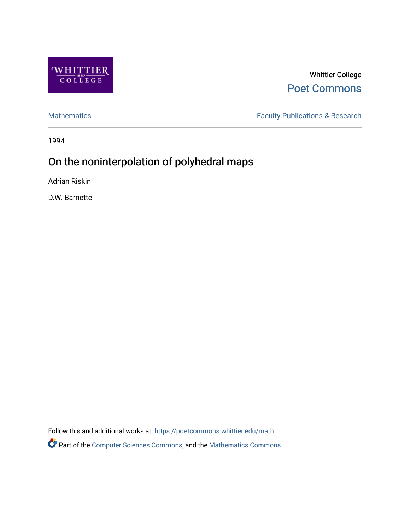

Whittier College [Poet Commons](https://poetcommons.whittier.edu/) 

[Mathematics](https://poetcommons.whittier.edu/math) **Faculty Publications & Research** 

1994

# On the noninterpolation of polyhedral maps

Adrian Riskin

D.W. Barnette

Follow this and additional works at: [https://poetcommons.whittier.edu/math](https://poetcommons.whittier.edu/math?utm_source=poetcommons.whittier.edu%2Fmath%2F9&utm_medium=PDF&utm_campaign=PDFCoverPages)

Part of the [Computer Sciences Commons](http://network.bepress.com/hgg/discipline/142?utm_source=poetcommons.whittier.edu%2Fmath%2F9&utm_medium=PDF&utm_campaign=PDFCoverPages), and the [Mathematics Commons](http://network.bepress.com/hgg/discipline/174?utm_source=poetcommons.whittier.edu%2Fmath%2F9&utm_medium=PDF&utm_campaign=PDFCoverPages)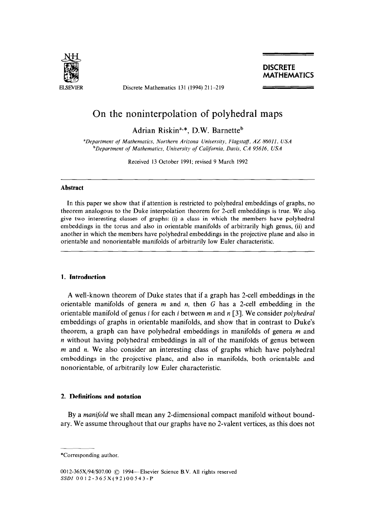

ELSEVIER Discrete Mathematics 131 (1994) 211-219

### **DISCRETE** MATHEMATICS

## On the noninterpolation of polyhedral maps

Adrian Riskin<sup>a,\*</sup>, D.W. Barnette<sup>b</sup>

*"Department qf' Mathematics, Northern Arizona University, Flagstaff, AZ 86011, USA bDepartment qf Mathematics, University of California, Davis, CA 95616, USA* 

Received 13 October 1991; revised 9 March 1992

#### **Abstract**

In this paper we show that if attention is restricted to polyhedral embeddings of graphs, no theorem analogous to the Duke interpolation theorem for 2-cell embeddings is true. We alsg. give two interesting classes of graphs: (i) a class in which the members have polyhedral embeddings in the torus and also in orientable manifolds of arbitrarily high genus, (ii) and another in which the members have polyhedral embeddings in the projective plane and also in orientable and nonorientable manifolds of arbitrarily low Euler characteristic.

#### **1. Introduction**

A well-known theorem of Duke states that if a graph has 2-cell embeddings in the orientable manifolds of genera *m* and n, then G has a 2-cell embedding in the orientable manifold of genus i for each *i* between *m* and n [3]. We consider polyhedral embeddings of graphs in orientable manifolds, and show that in contrast to Duke's theorem, a graph can have polyhedral embeddings in manifolds of genera *m* and n without having polyhedral embeddings in all of the manifolds of genus between *m* and *n.* We also consider an interesting class of graphs which have polyhedral embeddings in the projective plane, and also in manifolds, both orientable and nonorientable, of arbitrarily low Euler characteristic.

#### 2. **Definitions and notation**

By a *manifold we* shall mean any 2-dimensional compact manifold without boundary. We assume throughout that our graphs have no 2-valent vertices, as this does not

<sup>\*</sup>Corresponding author.

<sup>0012-365</sup>X/94/\$07.00 © 1994—Elsevier Science B.V. All rights reserved SSDI 0012-365X(92)00543-P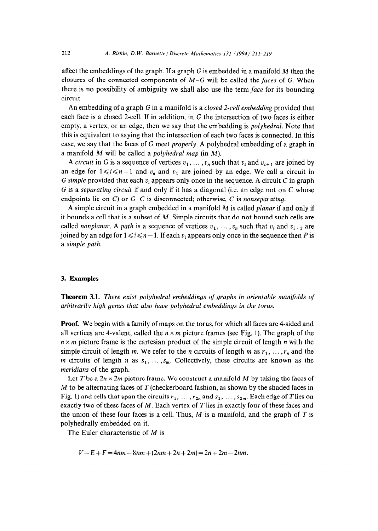affect the embeddings of the graph. If a graph G is embedded in a manifold *M* then the closures of the connected components of *M-G* will be called the **faces** of G. When there is no possibility of ambiguity we shall also use the term face for its bounding circuit.

An embedding of a graph G in a manifold is a *closed 2-cell embedding* provided that each face is a closed 2-cell. If in addition, in G the intersection of two faces is either empty, a vertex, or an edge, then we say that the embedding is *polyhedral.* Note that this is equivalent to saying that the intersection of each two faces is connected. In this case, we say that the faces of G meet *properly.* A polyhedral embedding of a graph in a manifold *M* will be called a *polyhedral map* (in *M).* 

A *circuit* in G is a sequence of vertices  $v_1, \ldots, v_n$  such that  $v_i$  and  $v_{i+1}$  are joined by an edge for  $1 \le i \le n-1$  and  $v_n$  and  $v_1$  are joined by an edge. We call a circuit in G *simple* provided that each  $v_i$  appears only once in the sequence. A circuit C in graph G is a *separating circuit* if and only if it has a diagonal (i.e. an edge not on C whose endpoints lie on C) or G-C is disconnected; otherwise, C is *nonseparating.* 

A simple circuit in a graph embedded in a manifold *M* is called *planar* if and only if it bounds a cell that is a subset of *M.* Simple circuits that do not bound such cells are called *nonplanar.* A *path* is a sequence of vertices  $v_1, \ldots, v_n$  such that  $v_i$  and  $v_{i+1}$  are joined by an edge for  $1 \le i \le n - 1$ . If each  $v_i$  appears only once in the sequence then P is a *simple path.* 

#### 3. **Examples**

**Theorem 3.1.** *There exist polyhedral embeddings of graphs in orientable manifolds of arbitrarily high genus that also have polyhedral embeddings in the torus.* 

**Proof.** We begin with a family of maps on the torus, for which all faces are 4-sided and all vertices are 4-valent, called the  $n \times m$  picture frames (see Fig. 1). The graph of the *n x m* picture frame is the Cartesian product of the simple circuit of length *n* with the simple circuit of length *m*. We refer to the *n* circuits of length *m* as  $r_1, \ldots, r_n$  and the *m* circuits of length *n* as  $s_1, \ldots, s_m$ . Collectively, these circuits are known as the *meridians* of the graph.

Let *T* be a  $2n \times 2m$  picture frame. We construct a manifold *M* by taking the faces of *M* to be alternating faces of *T* (checkerboard fashion, as shown by the shaded faces in Fig. 1) and cells that span the circuits  $r_1, \ldots, r_{2n}$  and  $s_1, \ldots, s_{2m}$ . Each edge of T lies on exactly two of these faces of *M.* Each vertex of *T* lies in exactly four of these faces and the union of these four faces is a cell. Thus, *M* is a manifold, and the graph of *T* is polyhedrally embedded on it.

The Euler characteristic of *M* is

 $V - E + F = 4nm - 8nm + (2nm + 2n + 2m) = 2n + 2m - 2nm$ .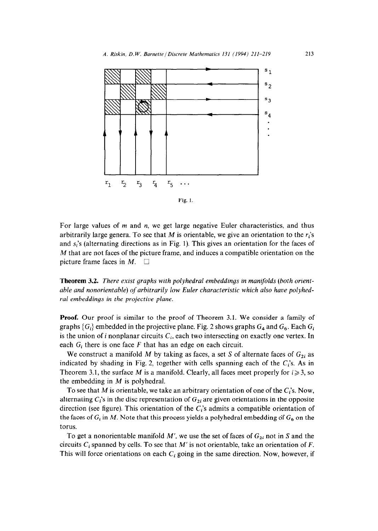



For large values of m and *n, we* get large negative Euler characteristics, and thus arbitrarily large genera. To see that M is orientable, we give an orientation to the  $r_i$ 's and  $s_i$ 's (alternating directions as in Fig. 1). This gives an orientation for the faces of M that are not faces of the picture frame, and induces a compatible orientation on the picture frame faces in  $M$ .

**Theorem 3.2.** *There exist graphs with polyhedral embeddings in manifolds (both orientable and nonorientable) of arbitrarily low Euler characteristic which also have polyhedral embeddings in the projective plane.* 

**Proof.** Our proof is similar to the proof of Theorem 3.1. We consider a family of graphs  ${G_i}$  embedded in the projective plane. Fig. 2 shows graphs  $G_4$  and  $G_6$ . Each  $G_i$ is the union of *i* nonplanar circuits  $C_i$ , each two intersecting on exactly one vertex. In each  $G_i$  there is one face  $F$  that has an edge on each circuit.

We construct a manifold M by taking as faces, a set S of alternate faces of  $G_{2i}$  as indicated by shading in Fig. 2, together with cells spanning each of the  $C_i$ 's. As in Theorem 3.1, the surface M is a manifold. Clearly, all faces meet properly for  $i \ge 3$ , so the embedding in *M* is polyhedral.

To see that *M* is orientable, we take an arbitrary orientation of one of the  $C_i$ 's. Now, alternating  $C_i$ 's in the disc representation of  $G_{2i}$  are given orientations in the opposite direction (see figure). This orientation of the  $C_i$ 's admits a compatible orientation of the faces of  $G_i$  in M. Note that this process yields a polyhedral embedding of  $G_6$  on the torus.

To get a nonorientable manifold  $M'$ , we use the set of faces of  $G_{2i}$  not in S and the circuits  $C_i$  spanned by cells. To see that  $M'$  is not orientable, take an orientation of  $F$ . This will force orientations on each  $C_i$  going in the same direction. Now, however, if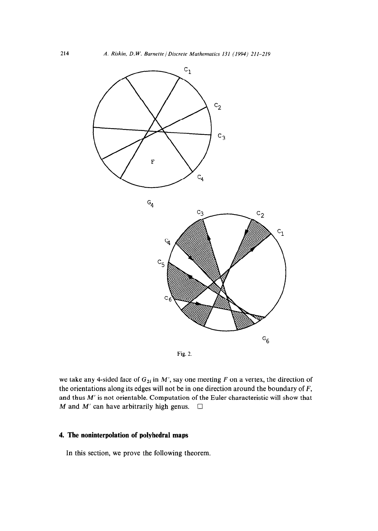



we take any 4-sided face of  $G_{2i}$  in  $M'$ , say one meeting  $F$  on a vertex, the direction of the orientations along its edges will not be in one direction around the boundary of *F,*  and thus *M'* is not orientable. Computation of the Euler characteristic will show that *M* and *M'* can have arbitrarily high genus.  $\Box$ 

#### 4. **The noninterpolation of polyhedral maps**

In this section, we prove the following theorem.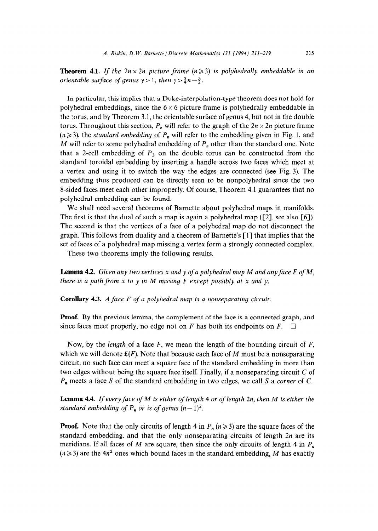**Theorem 4.1.** If the  $2n \times 2n$  picture frame  $(n \geq 3)$  is polyhedrally embeddable in an *orientable surface of genus*  $\gamma > 1$ , *then*  $\gamma > \frac{5}{4}n - \frac{3}{2}$ .

In particular, this implies that a Duke-interpolation-type theorem does not hold for polyhedral embeddings, since the  $6 \times 6$  picture frame is polyhedrally embeddable in the torus, and by Theorem 3.1, the orientable surface of genus 4, but not in the double torus. Throughout this section,  $P_n$  will refer to the graph of the  $2n \times 2n$  picture frame  $(n \geq 3)$ , the *standard embedding* of  $P_n$  will refer to the embedding given in Fig. 1, and M will refer to some polyhedral embedding of  $P_n$  other than the standard one. Note that a 2-cell embedding of  $P_3$  on the double torus can be constructed from the standard toroidal embedding by inserting a handle across two faces which meet at a vertex and using it to switch the way the edges are connected (see Fig. 3). The embedding thus produced can be directly seen to be nonpolyhedral since the two g-sided faces meet each other improperly. Of course, Theorem 4.1 guarantees that no polyhedral embedding can be found.

We shall need several theorems of Barnette about polyhedral maps in manifolds. The first is that the dual of such a map is again a polyhedral map  $(2)$ , see also [6]). The second is that the vertices of a face of a polyhedral map do not disconnect the graph. This follows from duality and a theorem of Barnette's [l] that implies that the set of faces of a polyhedral map missing a vertex form a strongly connected complex.

These two theorems imply the following results.

**Lemma 4.2.** *Given any two vertices x and y of a polyhedral map M and any face F of M, there is a path from x to y in M missing F except possibly at x and y.* 

**Corollary** *4.3. A face F of a polyhedral map is a nonseparating circuit.* 

**Proof.** By the previous lemma, the complement of the face is a connected graph, and since faces meet properly, no edge not on  $F$  has both its endpoints on  $F$ .  $\Box$ 

*Now,* by the *length* of a face *F, we* mean the length of the bounding circuit of *F,*  which we will denote  $f(F)$ . Note that because each face of M must be a nonseparating circuit, no such face can meet a square face of the standard embedding in more than two edges without being the square face itself. Finally, if a nonseparating circuit C of *P,* meets a face S of the standard embedding in two edges, we call S a *corner* of C.

**Lemma 4.4.** *If every face of M is either of length 4 or of length 2n, then M is either the standard embedding of*  $P_n$  *or is of genus*  $(n-1)^2$ .

**Proof.** Note that the only circuits of length 4 in  $P_n$  ( $n \ge 3$ ) are the square faces of the standard embedding, and that the only nonseparating circuits of length *2n* are its meridians. If all faces of *M* are square, then since the only circuits of length 4 in  $P_n$  $(n \geq 3)$  are the 4*n*<sup>2</sup> ones which bound faces in the standard embedding, *M* has exactly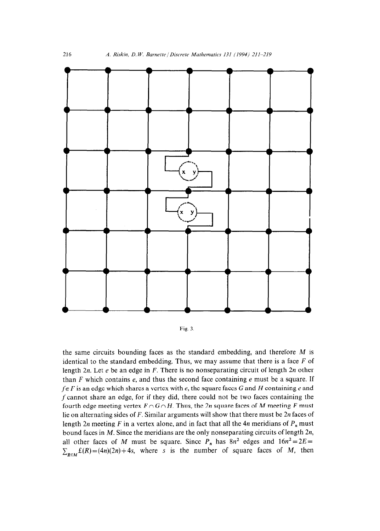

Fig. 3

the same circuits bounding faces as the standard embedding, and therefore *M* is identical to the standard embedding. Thus, we may assume that there is a face *F* of length *2n.* Let e be an edge in *F.* There is no nonseparating circuit of length *2n* other than *F* which contains e, and thus the second face containing e must be a square. If  $f \in F$  is an edge which shares a vertex with e, the square faces G and H containing e and f cannot share an edge, for if they did, there could not be two faces containing the fourth edge meeting vertex  $F \cap G \cap H$ . Thus, the 2n square faces of M meeting F must lie on alternating sides of *F.* Similar arguments will show that there must be 2n faces of length  $2n$  meeting  $F$  in a vertex alone, and in fact that all the  $4n$  meridians of  $P_n$  must bound faces in *M.* Since the meridians are the only nonseparating circuits of length *2n,*  all other faces of *M* must be square. Since  $P_n$  has  $8n^2$  edges and  $16n^2 = 2E =$  $\sum_{R \in M} f(R) = (4n)(2n) + 4s$ , where s is the number of square faces of *M*, then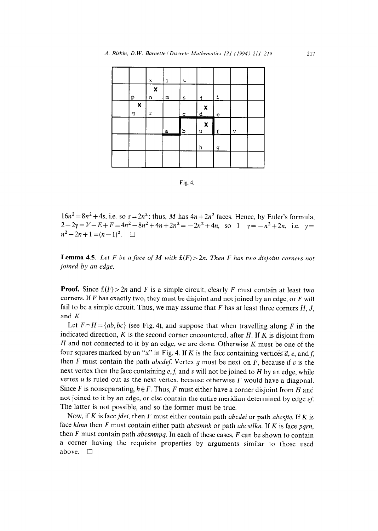|                   | k                              | ı | t            |                                          |                      |   |  |
|-------------------|--------------------------------|---|--------------|------------------------------------------|----------------------|---|--|
| р                 | $\boldsymbol{\mathsf{x}}$<br>n | m | s            | ÷                                        | i                    |   |  |
| $\pmb{\chi}$<br>q | r                              |   | $\mathbf{C}$ | $\boldsymbol{\mathsf{x}}$<br>$\mathbf d$ | $\mathbf{e}$         |   |  |
|                   |                                |   |              |                                          |                      |   |  |
|                   |                                | a | $\mathbf{b}$ | $\boldsymbol{\mathsf{x}}$<br>u           |                      | v |  |
|                   |                                |   |              | h                                        | ĽĒ<br>$\overline{a}$ |   |  |



 $16n^2 = 8n^2 + 4s$ , i.e. so  $s = 2n^2$ ; thus, M has  $4n + 2n^2$  faces. Hence, by Euler's formula,  $2-2y=V-E+F=4n^2-8n^2+4n+2n^2=-2n^2+4n$ , so  $1-y=-n^2+2n$ , i.e.  $y=$  $n^2-2n+1=(n-1)^2$ .  $\Box$ 

**Lemma 4.5.** *Let F be a face of M with*  $f(F) > 2n$ *. Then F has two disjoint corners not joined by un edge.* 

**Proof.** Since  $\mathfrak{L}(F) > 2n$  and *F* is a simple circuit, clearly *F* must contain at least two corners. If *F* has exactly two, they must be disjoint and not joined by an edge, or *F* will fail to be a simple circuit. Thus, we may assume that *F* has at least three corners *H, J,*  and *K.* 

Let  $F \cap H = \{ab, bc\}$  (see Fig. 4), and suppose that when travelling along *F* in the indicated direction, *K* is the second corner encountered, after *H.* If *K* is disjoint from *H* and not connected to it by an edge, we are done. Otherwise *K* must be one of the four squares marked by an "x" in Fig. 4. If *K* is the face containing vertices *d*, *e*, and *f*, then  $F$  must contain the path *abcdef*. Vertex  $g$  must be next on  $F$ , because if  $v$  is the next vertex then the face containing  $e, f$ , and v will not be joined to  $H$  by an edge, while vertex u is ruled out as the next vertex, because otherwise *F* would have a diagonal. Since *F* is nonseparating,  $h \notin F$ . Thus, *F* must either have a corner disjoint from *H* and not joined to it by an edge, or else contain the entire meridian determined by edge  $ef$ . The latter is not possible, and so the former must be true.

Now, if *K* is face *jdei,* then *F* must either contain path *abcdei* or path *abcsjie.* If *K* is face *klmn* then *F* must contain either path *abcsmnk* or path *abcstlkn.* If *K* is face *pqrn,*  then *F* must contain path *abcsmnpq.* In each of these cases, *F* can be shown to contain a corner having the requisite properties by arguments similar to those used above.  $\square$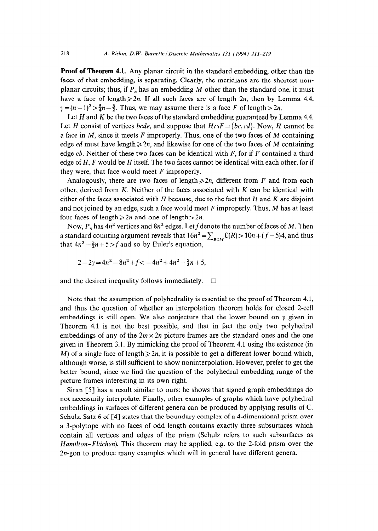**Proof of Theorem 4.1.** Any planar circuit in the standard embedding, other than the faces of that embedding, is separating. Clearly, the meridians are the shortest nonplanar circuits; thus, if  $P_n$  has an embedding M other than the standard one, it must have a face of length  $\geq 2n$ . If all such faces are of length 2n, then by Lemma 4.4,  $\gamma = (n-1)^2 > \frac{5}{4}n-\frac{3}{2}$ . Thus, we may assume there is a face F of length  $> 2n$ .

Let  $H$  and  $K$  be the two faces of the standard embedding guaranteed by Lemma 4.4. Let *H* consist of vertices *bcde*, and suppose that  $H \cap F = \{bc, cd\}$ . Now, *H* cannot be a face in *M,* since it meets *F* improperly. Thus, one of the two faces of *M* containing edge *ed* must have length  $\geq 2n$ , and likewise for one of the two faces of *M* containing edge *eb.* Neither of these two faces can be identical with *F,* for if *F* contained a third edge of *H, F* would be *H* itself. The two faces cannot be identical with each other, for if they were, that face would meet *F* improperly.

Analogously, there are two faces of length $\geq 2n$ , different from *F* and from each other, derived from *K.* Neither of the faces associated with K can be identical with either of the faces associated with *H* because, due to the fact that *H* and *K* are disjoint and not joined by an edge, such a face would meet *F* improperly. Thus, *M* has at least four faces of length  $\ge 2n$  and one of length  $> 2n$ .

Now,  $P_n$  has  $4n^2$  vertices and  $8n^2$  edges. Let f denote the number of faces of M. Then a standard counting argument reveals that  $16n^2 = \sum_{R \in M} f(R) > 10n + (f-5)4$ , and thus that  $4n^2 - \frac{5}{2}n + 5 > f$  and so by Euler's equation,

$$
2 - 2\gamma = 4n^2 - 8n^2 + f < -4n^2 + 4n^2 - \frac{5}{2}n + 5
$$

and the desired inequality follows immediately.  $\Box$ 

Note that the assumption of polyhedrality is essential to the proof of Theorem 4.1, and thus the question of whether an interpolation theorem holds for closed 2-cell embeddings is still open. We also conjecture that the lower bound on  $\gamma$  given in Theorem 4.1 is not the best possible, and that in fact the only two polyhedral embeddings of any of the  $2m \times 2n$  picture frames are the standard ones and the one given in Theorem 3.1. By mimicking the proof of Theorem 4.1 using the existence (in *M)* of a single face of length  $\geq 2n$ , it is possible to get a different lower bound which, although worse, is still sufficient to show noninterpolation. However, prefer to get the better bound, since we find the question of the polyhedral embedding range of the picture frames interesting in its own right.

Siran [S] has a result similar to ours: he shows that signed graph embeddings do not necessarily interpolate. Finally, other examples of graphs which have polyhedral embeddings in surfaces of different genera can be produced by applying results of C. Schulz. Satz 6 of [4] states that the boundary complex of a 4-dimensional prism over a 3-polytope with no faces of odd length contains exactly three subsurfaces which contain all vertices and edges of the prism (Schulz refers to such subsurfaces as *Hamilton–Flächen*). This theorem may be applied, e.g. to the 2-fold prism over the 2n-gon to produce many examples which will in general have different genera.